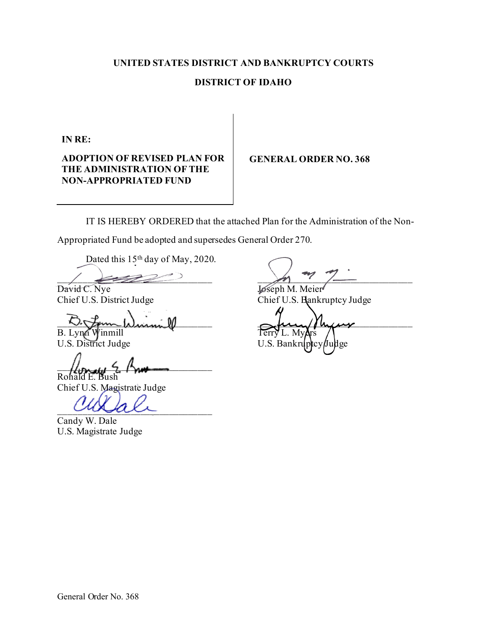### **UNITED STATES DISTRICT AND BANKRUPTCY COURTS**

#### **DISTRICT OF IDAHO**

**IN RE:**

**ADOPTION OF REVISED PLAN FOR THE ADMINISTRATION OF THE NON-APPROPRIATED FUND** 

#### **GENERAL ORDER NO. 368**

IT IS HEREBY ORDERED that the attached Plan for the Administration of the Non-

Appropriated Fund be adopted and supersedes General Order 270.

Dated this 15<sup>th</sup> day of May, 2020.

David C. Nye<br>
Chief U.S. District Judge<br>
Chief U.S. Hank

 $B. LynA$  Winmill Terry L. My

 $\mu_{\text{total}}$  5  $\mu_{\text{total}}$ Rof

Chief U.S. Magistrate Judge

\_\_\_\_\_\_\_\_\_\_\_\_\_\_\_\_\_\_\_\_\_\_\_\_\_\_\_\_\_\_\_\_

Candy W. Dale U.S. Magistrate Judge

 $\left(\begin{array}{ccc} \frac{1}{2} & \frac{1}{2} & \frac{1}{2} & \frac{1}{2} & \frac{1}{2} & \frac{1}{2} & \frac{1}{2} & \frac{1}{2} & \frac{1}{2} & \frac{1}{2} & \frac{1}{2} & \frac{1}{2} & \frac{1}{2} & \frac{1}{2} & \frac{1}{2} & \frac{1}{2} & \frac{1}{2} & \frac{1}{2} & \frac{1}{2} & \frac{1}{2} & \frac{1}{2} & \frac{1}{2} & \frac{1}{2} & \frac{1}{2} & \frac{1}{2} & \frac{1}{2} & \frac{$ 

Chief U.S. Bankruptcy Judge

 $D$   $\tau$  and  $\tau$ U.S. District Judge U.S. Bankruptcy/Judge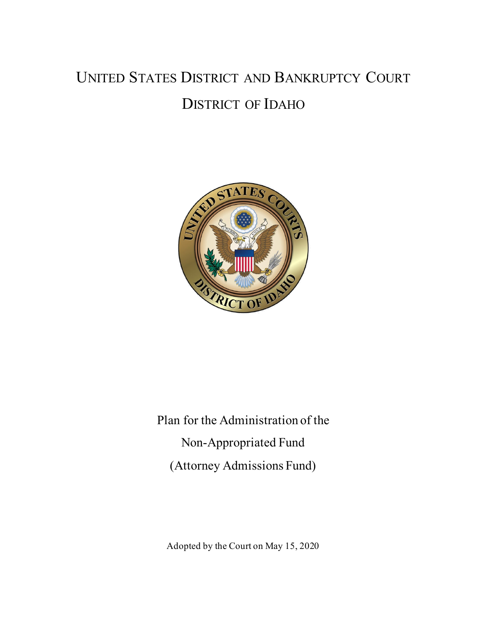## UNITED STATES DISTRICT AND BANKRUPTCY COURT DISTRICT OF IDAHO



Plan for the Administration of the Non-Appropriated Fund (Attorney Admissions Fund)

Adopted by the Court on May 15, 2020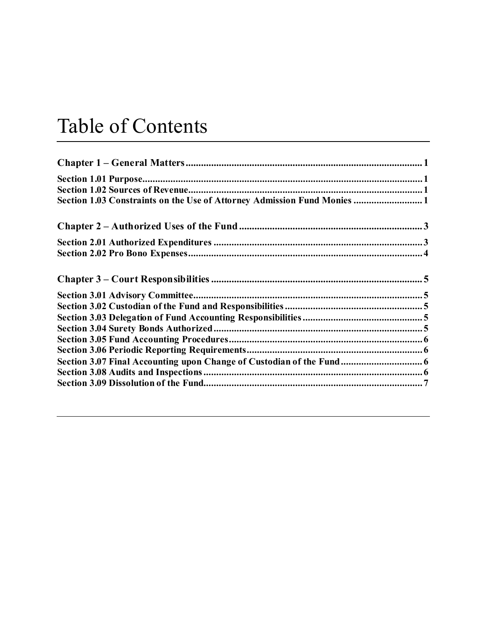# Table of Contents

| Section 1.03 Constraints on the Use of Attorney Admission Fund Monies  1 |  |
|--------------------------------------------------------------------------|--|
|                                                                          |  |
|                                                                          |  |
|                                                                          |  |
|                                                                          |  |
|                                                                          |  |
|                                                                          |  |
|                                                                          |  |
|                                                                          |  |
|                                                                          |  |
|                                                                          |  |
| Section 3.07 Final Accounting upon Change of Custodian of the Fund 6     |  |
|                                                                          |  |
|                                                                          |  |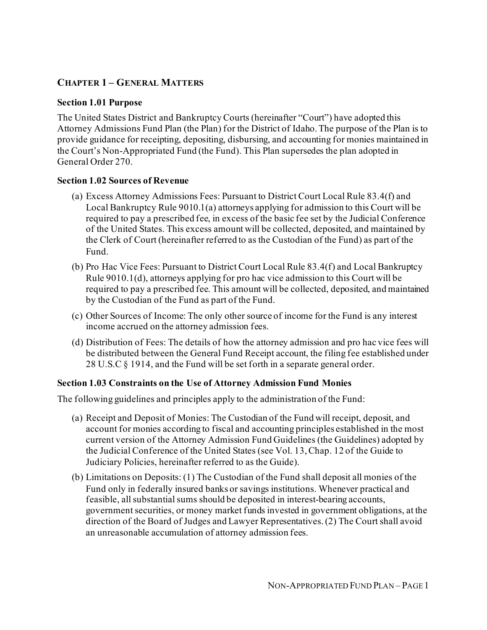#### **CHAPTER 1 – GENERAL MATTERS**

#### **Section 1.01 Purpose**

The United States District and Bankruptcy Courts (hereinafter "Court") have adopted this Attorney Admissions Fund Plan (the Plan) for the District of Idaho. The purpose of the Plan is to provide guidance for receipting, depositing, disbursing, and accounting for monies maintained in the Court's Non-Appropriated Fund (the Fund). This Plan supersedes the plan adopted in General Order 270.

#### **Section 1.02 Sources of Revenue**

- (a) Excess Attorney Admissions Fees: Pursuant to District Court Local Rule 83.4(f) and Local Bankruptcy Rule 9010.1(a) attorneys applying for admission to this Court will be required to pay a prescribed fee, in excess of the basic fee set by the Judicial Conference of the United States. This excess amount will be collected, deposited, and maintained by the Clerk of Court (hereinafter referred to as the Custodian of the Fund) as part of the Fund.
- (b) Pro Hac Vice Fees: Pursuant to District Court Local Rule 83.4(f) and Local Bankruptcy Rule 9010.1(d), attorneys applying for pro hac vice admission to this Court will be required to pay a prescribed fee. This amount will be collected, deposited, and maintained by the Custodian of the Fund as part of the Fund.
- (c) Other Sources of Income: The only other source of income for the Fund is any interest income accrued on the attorney admission fees.
- (d) Distribution of Fees: The details of how the attorney admission and pro hac vice fees will be distributed between the General Fund Receipt account, the filing fee established under 28 U.S.C § 1914, and the Fund will be set forth in a separate general order.

#### **Section 1.03 Constraints on the Use of Attorney Admission Fund Monies**

The following guidelines and principles apply to the administration of the Fund:

- (a) Receipt and Deposit of Monies: The Custodian of the Fund will receipt, deposit, and account for monies according to fiscal and accounting principles established in the most current version of the Attorney Admission Fund Guidelines (the Guidelines) adopted by the Judicial Conference of the United States (see Vol. 13, Chap. 12 of the Guide to Judiciary Policies, hereinafter referred to as the Guide).
- (b) Limitations on Deposits: (1) The Custodian of the Fund shall deposit all monies of the Fund only in federally insured banks or savings institutions. Whenever practical and feasible, all substantial sums should be deposited in interest-bearing accounts, government securities, or money market funds invested in government obligations, at the direction of the Board of Judges and Lawyer Representatives. (2) The Court shall avoid an unreasonable accumulation of attorney admission fees.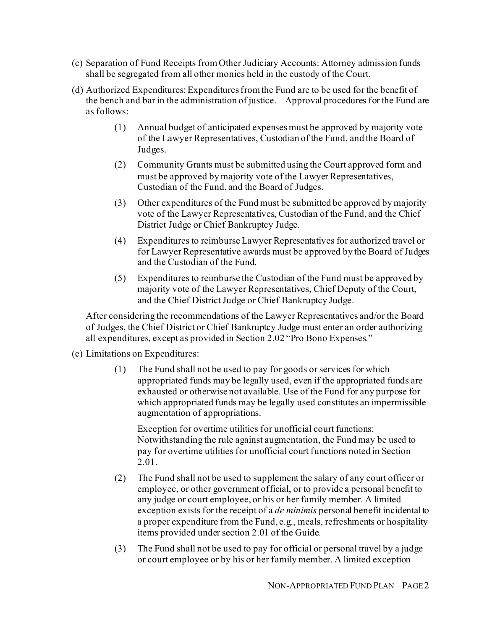- (c) Separation of Fund Receipts from Other Judiciary Accounts: Attorney admission funds shall be segregated from all other monies held in the custody of the Court.
- (d) Authorized Expenditures: Expenditures from the Fund are to be used for the benefit of the bench and bar in the administration of justice. Approval procedures for the Fund are as follows:
	- (1) Annual budget of anticipated expenses must be approved by majority vote of the Lawyer Representatives, Custodian of the Fund, and the Board of Judges.
	- (2) Community Grants must be submitted using the Court approved form and must be approved by majority vote of the Lawyer Representatives, Custodian of the Fund, and the Board of Judges.
	- (3) Other expenditures of the Fund must be submitted be approved by majority vote of the Lawyer Representatives, Custodian of the Fund, and the Chief District Judge or Chief Bankruptcy Judge.
	- (4) Expenditures to reimburse Lawyer Representatives for authorized travel or for Lawyer Representative awards must be approved by the Board of Judges and the Custodian of the Fund.
	- (5) Expenditures to reimburse the Custodian of the Fund must be approved by majority vote of the Lawyer Representatives, Chief Deputy of the Court, and the Chief District Judge or Chief Bankruptcy Judge.

After considering the recommendations of the Lawyer Representatives and/or the Board of Judges, the Chief District or Chief Bankruptcy Judge must enter an order authorizing all expenditures, except as provided in Section 2.02 "Pro Bono Expenses."

#### (e) Limitations on Expenditures:

(1) The Fund shall not be used to pay for goods or services for which appropriated funds may be legally used, even if the appropriated funds are exhausted or otherwise not available. Use of the Fund for any purpose for which appropriated funds may be legally used constitutes an impermissible augmentation of appropriations.

Exception for overtime utilities for unofficial court functions: Notwithstanding the rule against augmentation, the Fund may be used to pay for overtime utilities for unofficial court functions noted in Section 2.01.

- (2) The Fund shall not be used to supplement the salary of any court officer or employee, or other government official, or to provide a personal benefit to any judge or court employee, or his or her family member. A limited exception exists for the receipt of a *de minimis* personal benefit incidental to a proper expenditure from the Fund, e.g., meals, refreshments or hospitality items provided under section 2.01 of the Guide.
- (3) The Fund shall not be used to pay for official or personal travel by a judge or court employee or by his or her family member. A limited exception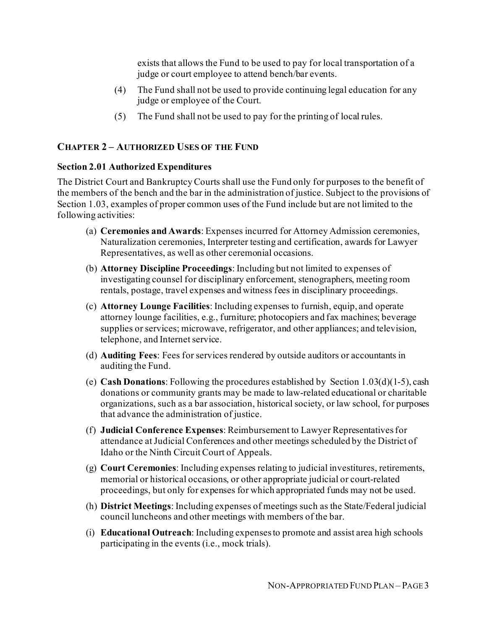exists that allows the Fund to be used to pay for local transportation of a judge or court employee to attend bench/bar events.

- (4) The Fund shall not be used to provide continuing legal education for any judge or employee of the Court.
- (5) The Fund shall not be used to pay for the printing of local rules.

#### **CHAPTER 2 – AUTHORIZED USES OF THE FUND**

#### **Section 2.01 Authorized Expenditures**

The District Court and Bankruptcy Courts shall use the Fund only for purposes to the benefit of the members of the bench and the bar in the administration of justice. Subject to the provisions of Section 1.03, examples of proper common uses of the Fund include but are not limited to the following activities:

- (a) **Ceremonies and Awards**: Expenses incurred for Attorney Admission ceremonies, Naturalization ceremonies, Interpreter testing and certification, awards for Lawyer Representatives, as well as other ceremonial occasions.
- (b) **Attorney Discipline Proceedings**: Including but not limited to expenses of investigating counsel for disciplinary enforcement, stenographers, meeting room rentals, postage, travel expenses and witness fees in disciplinary proceedings.
- (c) **Attorney Lounge Facilities**: Including expenses to furnish, equip, and operate attorney lounge facilities, e.g., furniture; photocopiers and fax machines; beverage supplies or services; microwave, refrigerator, and other appliances; and television, telephone, and Internet service.
- (d) **Auditing Fees**: Fees for services rendered by outside auditors or accountants in auditing the Fund.
- (e) **Cash Donations**: Following the procedures established by Section 1.03(d)(1-5), cash donations or community grants may be made to law-related educational or charitable organizations, such as a bar association, historical society, or law school, for purposes that advance the administration of justice.
- (f) **Judicial Conference Expenses**: Reimbursement to Lawyer Representatives for attendance at Judicial Conferences and other meetings scheduled by the District of Idaho or the Ninth Circuit Court of Appeals.
- (g) **Court Ceremonies**: Including expenses relating to judicial investitures, retirements, memorial or historical occasions, or other appropriate judicial or court-related proceedings, but only for expenses for which appropriated funds may not be used.
- (h) **District Meetings**: Including expenses of meetings such as the State/Federal judicial council luncheons and other meetings with members of the bar.
- (i) **Educational Outreach**: Including expenses to promote and assist area high schools participating in the events (i.e., mock trials).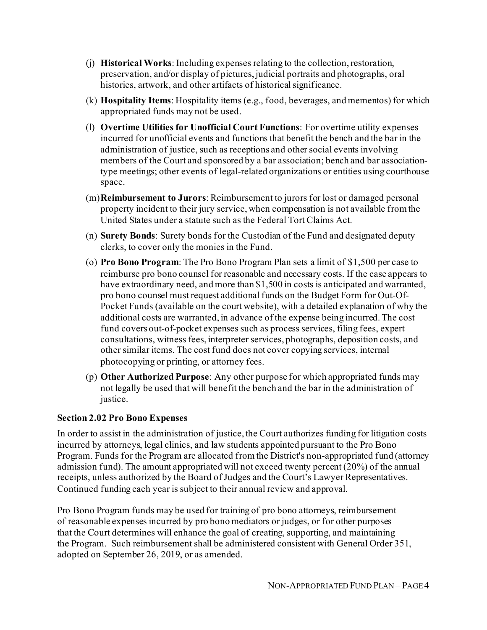- (j) **Historical Works**: Including expenses relating to the collection, restoration, preservation, and/or display of pictures, judicial portraits and photographs, oral histories, artwork, and other artifacts of historical significance.
- (k) **Hospitality Items**: Hospitality items (e.g., food, beverages, and mementos) for which appropriated funds may not be used.
- (l) **Overtime Utilities for Unofficial Court Functions**: For overtime utility expenses incurred for unofficial events and functions that benefit the bench and the bar in the administration of justice, such as receptions and other social events involving members of the Court and sponsored by a bar association; bench and bar associationtype meetings; other events of legal-related organizations or entities using courthouse space.
- (m)**Reimbursement to Jurors**: Reimbursement to jurors for lost or damaged personal property incident to their jury service, when compensation is not available from the United States under a statute such as the Federal Tort Claims Act.
- (n) **Surety Bonds**: Surety bonds for the Custodian of the Fund and designated deputy clerks, to cover only the monies in the Fund.
- (o) **Pro Bono Program**: The Pro Bono Program Plan sets a limit of \$1,500 per case to reimburse pro bono counsel for reasonable and necessary costs. If the case appears to have extraordinary need, and more than \$1,500 in costs is anticipated and warranted, pro bono counsel must request additional funds on the Budget Form for Out-Of-Pocket Funds (available on the court website), with a detailed explanation of why the additional costs are warranted, in advance of the expense being incurred. The cost fund covers out-of-pocket expenses such as process services, filing fees, expert consultations, witness fees, interpreter services, photographs, deposition costs, and other similar items. The cost fund does not cover copying services, internal photocopying or printing, or attorney fees.
- (p) **Other Authorized Purpose**: Any other purpose for which appropriated funds may not legally be used that will benefit the bench and the bar in the administration of justice.

#### **Section 2.02 Pro Bono Expenses**

In order to assist in the administration of justice, the Court authorizes funding for litigation costs incurred by attorneys, legal clinics, and law students appointed pursuant to the Pro Bono Program. Funds for the Program are allocated from the District's non-appropriated fund (attorney admission fund). The amount appropriated will not exceed twenty percent (20%) of the annual receipts, unless authorized by the Board of Judges and the Court's Lawyer Representatives. Continued funding each year is subject to their annual review and approval.

Pro Bono Program funds may be used for training of pro bono attorneys, reimbursement of reasonable expenses incurred by pro bono mediators or judges, or for other purposes that the Court determines will enhance the goal of creating, supporting, and maintaining the Program. Such reimbursement shall be administered consistent with General Order 351, adopted on September 26, 2019, or as amended.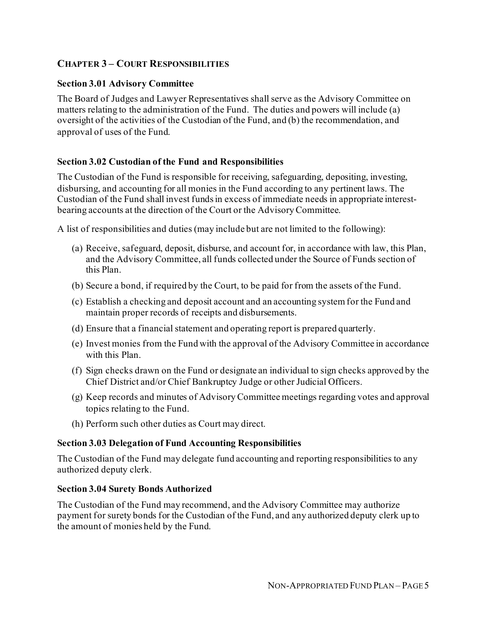#### **CHAPTER 3 – COURT RESPONSIBILITIES**

#### **Section 3.01 Advisory Committee**

The Board of Judges and Lawyer Representatives shall serve as the Advisory Committee on matters relating to the administration of the Fund. The duties and powers will include (a) oversight of the activities of the Custodian of the Fund, and (b) the recommendation, and approval of uses of the Fund.

#### **Section 3.02 Custodian of the Fund and Responsibilities**

The Custodian of the Fund is responsible for receiving, safeguarding, depositing, investing, disbursing, and accounting for all monies in the Fund according to any pertinent laws. The Custodian of the Fund shall invest funds in excess of immediate needs in appropriate interestbearing accounts at the direction of the Court or the Advisory Committee.

A list of responsibilities and duties (may include but are not limited to the following):

- (a) Receive, safeguard, deposit, disburse, and account for, in accordance with law, this Plan, and the Advisory Committee, all funds collected under the Source of Funds section of this Plan.
- (b) Secure a bond, if required by the Court, to be paid for from the assets of the Fund.
- (c) Establish a checking and deposit account and an accounting system for the Fund and maintain proper records of receipts and disbursements.
- (d) Ensure that a financial statement and operating report is prepared quarterly.
- (e) Invest monies from the Fund with the approval of the Advisory Committee in accordance with this Plan.
- (f) Sign checks drawn on the Fund or designate an individual to sign checks approved by the Chief District and/or Chief Bankruptcy Judge or other Judicial Officers.
- (g) Keep records and minutes of Advisory Committee meetings regarding votes and approval topics relating to the Fund.
- (h) Perform such other duties as Court may direct.

#### **Section 3.03 Delegation of Fund Accounting Responsibilities**

The Custodian of the Fund may delegate fund accounting and reporting responsibilities to any authorized deputy clerk.

#### **Section 3.04 Surety Bonds Authorized**

The Custodian of the Fund may recommend, and the Advisory Committee may authorize payment for surety bonds for the Custodian of the Fund, and any authorized deputy clerk up to the amount of monies held by the Fund.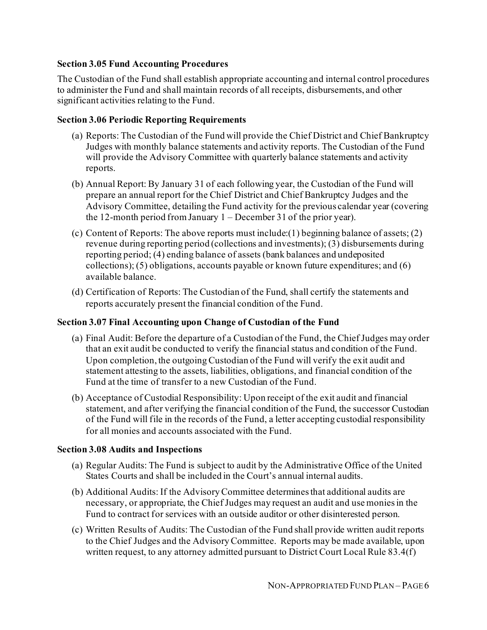#### **Section 3.05 Fund Accounting Procedures**

The Custodian of the Fund shall establish appropriate accounting and internal control procedures to administer the Fund and shall maintain records of all receipts, disbursements, and other significant activities relating to the Fund.

#### **Section 3.06 Periodic Reporting Requirements**

- (a) Reports: The Custodian of the Fund will provide the Chief District and Chief Bankruptcy Judges with monthly balance statements and activity reports. The Custodian of the Fund will provide the Advisory Committee with quarterly balance statements and activity reports.
- (b) Annual Report: By January 31 of each following year, the Custodian of the Fund will prepare an annual report for the Chief District and Chief Bankruptcy Judges and the Advisory Committee, detailing the Fund activity for the previous calendar year (covering the 12-month period from January 1 – December 31 of the prior year).
- (c) Content of Reports: The above reports must include:(1) beginning balance of assets; (2) revenue during reporting period (collections and investments); (3) disbursements during reporting period; (4) ending balance of assets (bank balances and undeposited collections); (5) obligations, accounts payable or known future expenditures; and (6) available balance.
- (d) Certification of Reports: The Custodian of the Fund, shall certify the statements and reports accurately present the financial condition of the Fund.

#### **Section 3.07 Final Accounting upon Change of Custodian of the Fund**

- (a) Final Audit: Before the departure of a Custodian of the Fund, the Chief Judges may order that an exit audit be conducted to verify the financial status and condition of the Fund. Upon completion, the outgoing Custodian of the Fund will verify the exit audit and statement attesting to the assets, liabilities, obligations, and financial condition of the Fund at the time of transfer to a new Custodian of the Fund.
- (b) Acceptance of Custodial Responsibility: Upon receipt of the exit audit and financial statement, and after verifying the financial condition of the Fund, the successor Custodian of the Fund will file in the records of the Fund, a letter accepting custodial responsibility for all monies and accounts associated with the Fund.

#### **Section 3.08 Audits and Inspections**

- (a) Regular Audits: The Fund is subject to audit by the Administrative Office of the United States Courts and shall be included in the Court's annual internal audits.
- (b) Additional Audits: If the Advisory Committee determines that additional audits are necessary, or appropriate, the Chief Judges may request an audit and use monies in the Fund to contract for services with an outside auditor or other disinterested person.
- (c) Written Results of Audits: The Custodian of the Fund shall provide written audit reports to the Chief Judges and the Advisory Committee. Reports may be made available, upon written request, to any attorney admitted pursuant to District Court Local Rule 83.4(f)